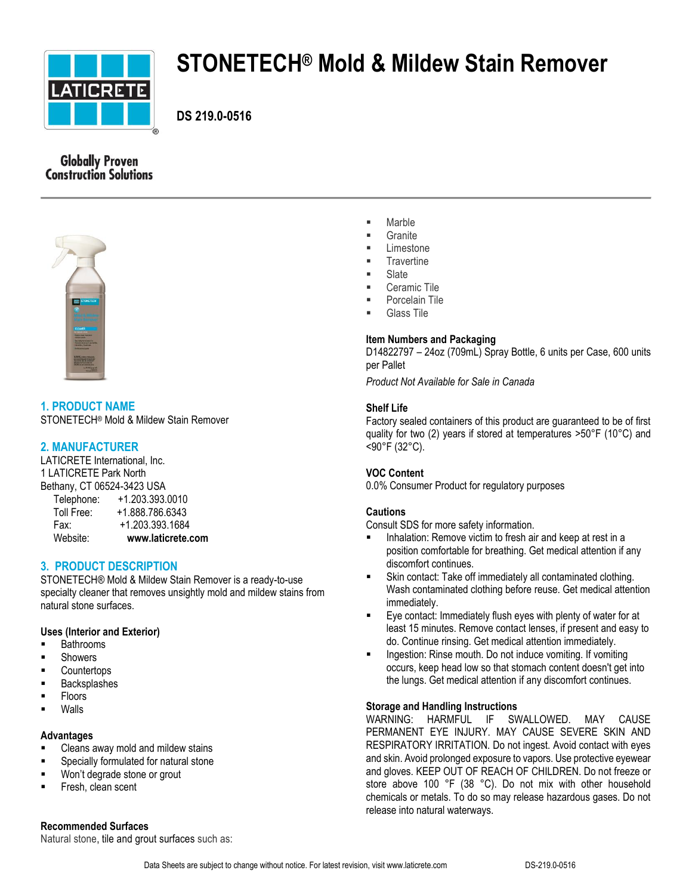

# **STONETECH® Mold & Mildew Stain Remover**

**DS 219.0-0516**

# **Globally Proven Construction Solutions**



**1. PRODUCT NAME** STONETECH® Mold & Mildew Stain Remover

# **2. MANUFACTURER**

LATICRETE International, Inc. 1 LATICRETE Park North Bethany, CT 06524-3423 USA Telephone: +1.203.393.0010

| Website:             | www.laticrete.com |
|----------------------|-------------------|
| Fax:                 | +1.203.393.1684   |
| Toll Free:           | +1.888.786.6343   |
| <b>TEIGDITOTIG</b> . | +1.200.090.00TU   |

# **3. PRODUCT DESCRIPTION**

STONETECH® Mold & Mildew Stain Remover is a ready-to-use specialty cleaner that removes unsightly mold and mildew stains from natural stone surfaces.

# **Uses (Interior and Exterior)**

- Bathrooms
- **Showers**
- **Countertops**
- **Backsplashes**
- Floors
- Walls

# **Advantages**

- **EXEC** Cleans away mold and mildew stains
- Specially formulated for natural stone
- **Won't degrade stone or grout**
- Fresh, clean scent

## **Recommended Surfaces**

Natural stone, tile and grout surfaces such as:

- Marble
- **Granite**
- Limestone
- **Travertine**
- Slate
- Ceramic Tile
- Porcelain Tile
- Glass Tile

# **Item Numbers and Packaging**

D14822797 – 24oz (709mL) Spray Bottle, 6 units per Case, 600 units per Pallet

*Product Not Available for Sale in Canada*

## **Shelf Life**

Factory sealed containers of this product are guaranteed to be of first quality for two (2) years if stored at temperatures >50°F (10°C) and <90°F (32°C).

# **VOC Content**

0.0% Consumer Product for regulatory purposes

# **Cautions**

Consult SDS for more safety information.

- Inhalation: Remove victim to fresh air and keep at rest in a position comfortable for breathing. Get medical attention if any discomfort continues.
- Skin contact: Take off immediately all contaminated clothing. Wash contaminated clothing before reuse. Get medical attention immediately.
- Eye contact: Immediately flush eyes with plenty of water for at least 15 minutes. Remove contact lenses, if present and easy to do. Continue rinsing. Get medical attention immediately.
- **Ingestion: Rinse mouth. Do not induce vomiting. If vomiting** occurs, keep head low so that stomach content doesn't get into the lungs. Get medical attention if any discomfort continues.

## **Storage and Handling Instructions**

WARNING: HARMFUL IF SWALLOWED. MAY CAUSE PERMANENT EYE INJURY. MAY CAUSE SEVERE SKIN AND RESPIRATORY IRRITATION. Do not ingest. Avoid contact with eyes and skin. Avoid prolonged exposure to vapors. Use protective eyewear and gloves. KEEP OUT OF REACH OF CHILDREN. Do not freeze or store above 100 °F (38 °C). Do not mix with other household chemicals or metals. To do so may release hazardous gases. Do not release into natural waterways.